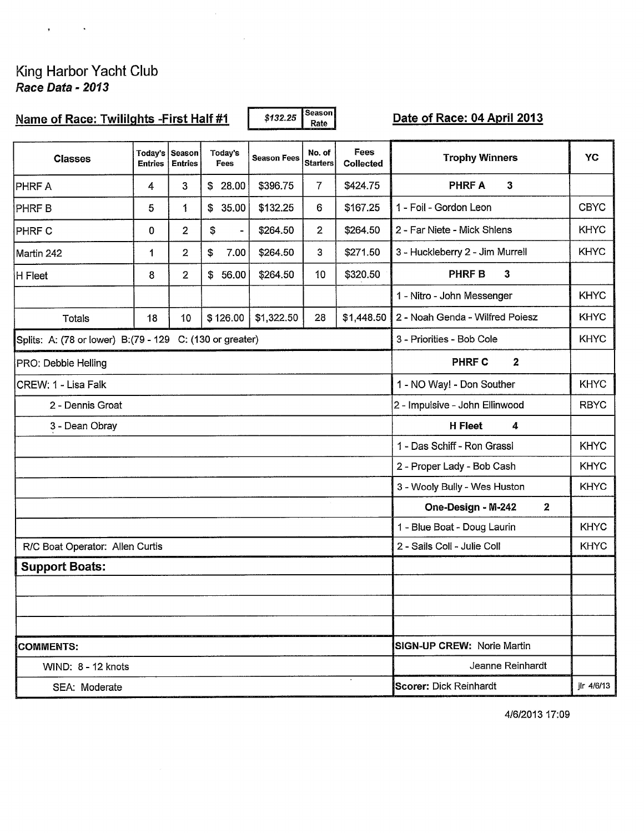# King Harbor Yacht Club<br>Race Data - 2013

 $\mathbf{r}_1$  and  $\mathbf{r}_2$ 

 $\sim 10^{-11}$ 

 $\mathcal{L}^{\text{max}}_{\text{max}}$  , where  $\mathcal{L}^{\text{max}}_{\text{max}}$ 

| Name of Race: Twillights - First Half #1                  |                     |                                  |                               | \$132.25           | Season<br>Rate             |                   |                                          |             |  |  |
|-----------------------------------------------------------|---------------------|----------------------------------|-------------------------------|--------------------|----------------------------|-------------------|------------------------------------------|-------------|--|--|
| <b>Classes</b>                                            | <b>Entries</b>      | Today's Season<br><b>Entries</b> | Today's<br>Fees               | <b>Season Fees</b> | No. of<br><b>Starters</b>  | Fees<br>Collected | <b>Trophy Winners</b>                    | YC          |  |  |
| <b>PHRF A</b>                                             | 4                   | 3                                | \$28.00                       | \$396.75           | $\overline{7}$             | \$424.75          | $\mathbf{3}$<br><b>PHRF A</b>            |             |  |  |
| <b>PHRFB</b>                                              | 5                   | 1                                | \$<br>35.00                   | \$132.25           | 6                          | \$167.25          | 1 - Foil - Gordon Leon                   | <b>CBYC</b> |  |  |
| <b>PHRF C</b>                                             | 0                   | $\overline{2}$                   | \$<br>$\overline{a}$          | \$264.50           | $\mathbf{2}$               | \$264.50          | 2 - Far Niete - Mick Shlens              | <b>KHYC</b> |  |  |
| Martin 242                                                | 1                   | $\overline{2}$                   | \$<br>7.00                    | \$264.50           | 3                          | \$271.50          | 3 - Huckleberry 2 - Jim Murrell          | <b>KHYC</b> |  |  |
| H Fleet                                                   | 8                   | $\overline{2}$                   | \$56.00                       | \$264.50           | 10                         | \$320.50          | <b>PHRF B</b><br>$\mathbf{3}$            |             |  |  |
|                                                           |                     |                                  |                               |                    |                            |                   | 1 - Nitro - John Messenger               | <b>KHYC</b> |  |  |
| <b>Totals</b>                                             | 18                  | 10 <sub>1</sub>                  | \$126.00                      | \$1,322.50         | 28                         | \$1,448.50        | 2 - Noah Genda - Wilfred Poiesz          | <b>KHYC</b> |  |  |
| Splits: A: (78 or lower) B: (79 - 129 C: (130 or greater) |                     |                                  |                               |                    |                            |                   | 3 - Priorities - Bob Cole                |             |  |  |
| PRO: Debbie Helling                                       |                     |                                  |                               |                    |                            |                   | $\overline{\mathbf{2}}$<br><b>PHRF C</b> |             |  |  |
| CREW: 1 - Lisa Falk                                       |                     |                                  |                               |                    |                            |                   | 1 - NO Way! - Don Souther                |             |  |  |
| 2 - Dennis Groat                                          |                     |                                  |                               |                    |                            |                   | 2 - Impulsive - John Ellinwood           | <b>RBYC</b> |  |  |
| 3 - Dean Obray                                            | <b>H</b> Fleet<br>4 |                                  |                               |                    |                            |                   |                                          |             |  |  |
|                                                           |                     |                                  |                               |                    |                            |                   | 1 - Das Schiff - Ron Grassl              | <b>KHYC</b> |  |  |
|                                                           |                     |                                  |                               |                    |                            |                   | 2 - Proper Lady - Bob Cash               | <b>KHYC</b> |  |  |
|                                                           |                     |                                  |                               |                    |                            |                   | 3 - Wooly Bully - Wes Huston             | <b>KHYC</b> |  |  |
|                                                           |                     |                                  |                               |                    |                            |                   | One-Design - M-242<br>$\mathbf{2}$       |             |  |  |
|                                                           |                     |                                  |                               |                    |                            |                   | 1 - Blue Boat - Doug Laurin              | <b>KHYC</b> |  |  |
| R/C Boat Operator: Allen Curtis                           |                     |                                  |                               |                    |                            |                   | 2 - Sails Coll - Julie Coll              | <b>KHYC</b> |  |  |
| <b>Support Boats:</b>                                     |                     |                                  |                               |                    |                            |                   |                                          |             |  |  |
|                                                           |                     |                                  |                               |                    |                            |                   |                                          |             |  |  |
|                                                           |                     |                                  |                               |                    |                            |                   |                                          |             |  |  |
|                                                           |                     |                                  |                               |                    |                            |                   |                                          |             |  |  |
| <b>COMMENTS:</b>                                          |                     |                                  |                               |                    | SIGN-UP CREW: Norie Martin |                   |                                          |             |  |  |
| WIND: 8 - 12 knots                                        |                     |                                  |                               |                    | Jeanne Reinhardt           |                   |                                          |             |  |  |
| SEA: Moderate                                             |                     |                                  | <b>Scorer: Dick Reinhardt</b> |                    |                            | jlr 4/6/13        |                                          |             |  |  |

4/6/2013 17:09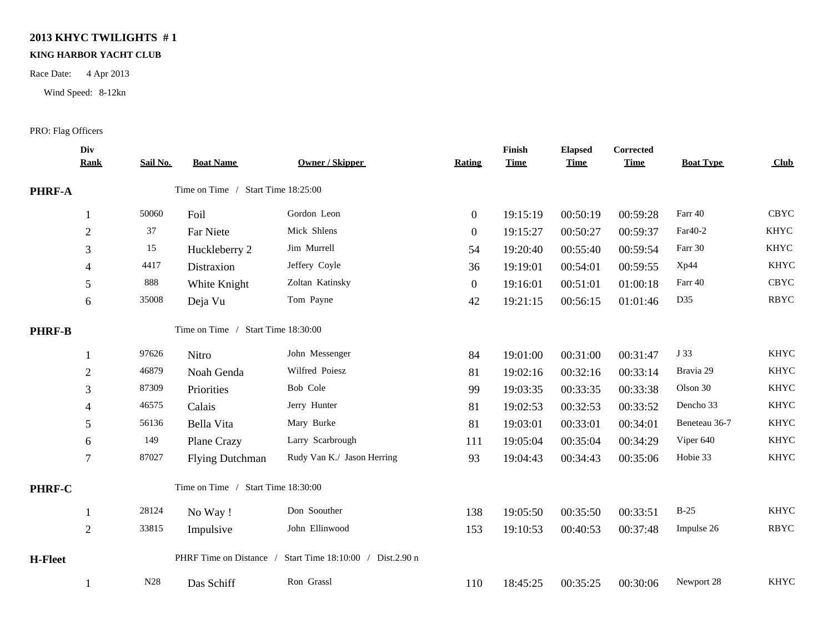## **2013 KHYC TWILIGHTS # 1**

#### **KING HARBOR YACHT CLUB**

Race Date: 4 Apr 2013

Wind Speed: 8-12kn

### PRO: Flag Officers

|               | Div<br><b>Rank</b> | Sail No.                           | <b>Boat Name</b>                   | Owner / Skipper                                           | Rating         | Finish<br><b>Time</b> | <b>Elapsed</b><br><b>Time</b> | Corrected<br><b>Time</b> | <b>Boat Type</b> | Club        |
|---------------|--------------------|------------------------------------|------------------------------------|-----------------------------------------------------------|----------------|-----------------------|-------------------------------|--------------------------|------------------|-------------|
| PHRF-A        |                    |                                    | Time on Time / Start Time 18:25:00 |                                                           |                |                       |                               |                          |                  |             |
|               |                    | 50060                              | Foil                               | Gordon Leon                                               | $\overline{0}$ | 19:15:19              | 00:50:19                      | 00:59:28                 | Farr 40          | <b>CBYC</b> |
|               | $\overline{2}$     | 37                                 | Far Niete                          | Mick Shlens                                               | $\overline{0}$ | 19:15:27              | 00:50:27                      | 00:59:37                 | Far40-2          | <b>KHYC</b> |
|               | 3                  | 15                                 | Huckleberry 2                      | Jim Murrell                                               | 54             | 19:20:40              | 00:55:40                      | 00:59:54                 | Farr 30          | <b>KHYC</b> |
|               | 4                  | 4417                               | Distraxion                         | Jeffery Coyle                                             | 36             | 19:19:01              | 00:54:01                      | 00:59:55                 | Xp44             | <b>KHYC</b> |
|               | 5                  | 888                                | White Knight                       | Zoltan Katinsky                                           | $\overline{0}$ | 19:16:01              | 00:51:01                      | 01:00:18                 | Farr 40          | <b>CBYC</b> |
|               | 6                  | 35008                              | Deja Vu                            | Tom Payne                                                 | 42             | 19:21:15              | 00:56:15                      | 01:01:46                 | D35              | <b>RBYC</b> |
| <b>PHRF-B</b> |                    |                                    | Time on Time / Start Time 18:30:00 |                                                           |                |                       |                               |                          |                  |             |
|               |                    | 97626                              | Nitro                              | John Messenger                                            | 84             | 19:01:00              | 00:31:00                      | 00:31:47                 | J 33             | <b>KHYC</b> |
|               | $\overline{2}$     | 46879                              | Noah Genda                         | Wilfred Poiesz                                            | 81             | 19:02:16              | 00:32:16                      | 00:33:14                 | Bravia 29        | <b>KHYC</b> |
|               | 3                  | 87309                              | Priorities                         | Bob Cole                                                  | 99             | 19:03:35              | 00:33:35                      | 00:33:38                 | Olson 30         | <b>KHYC</b> |
|               | 4                  | 46575                              | Calais                             | Jerry Hunter                                              | 81             | 19:02:53              | 00:32:53                      | 00:33:52                 | Dencho 33        | <b>KHYC</b> |
|               | 5                  | 56136                              | Bella Vita                         | Mary Burke                                                | 81             | 19:03:01              | 00:33:01                      | 00:34:01                 | Beneteau 36-7    | <b>KHYC</b> |
|               | 6                  | 149                                | Plane Crazy                        | Larry Scarbrough                                          | 111            | 19:05:04              | 00:35:04                      | 00:34:29                 | Viper 640        | <b>KHYC</b> |
|               | 7                  | 87027                              | <b>Flying Dutchman</b>             | Rudy Van K./ Jason Herring                                | 93             | 19:04:43              | 00:34:43                      | 00:35:06                 | Hobie 33         | <b>KHYC</b> |
| PHRF-C        |                    | Time on Time / Start Time 18:30:00 |                                    |                                                           |                |                       |                               |                          |                  |             |
|               |                    | 28124                              | No Way!                            | Don Soouther                                              | 138            | 19:05:50              | 00:35:50                      | 00:33:51                 | $B-25$           | <b>KHYC</b> |
|               | $\overline{2}$     | 33815                              | Impulsive                          | John Ellinwood                                            | 153            | 19:10:53              | 00:40:53                      | 00:37:48                 | Impulse 26       | <b>RBYC</b> |
| H-Fleet       |                    |                                    |                                    | PHRF Time on Distance / Start Time 18:10:00 / Dist.2.90 n |                |                       |                               |                          |                  |             |
|               |                    | N <sub>28</sub>                    | Das Schiff                         | Ron Grassl                                                | 110            | 18:45:25              | 00:35:25                      | 00:30:06                 | Newport 28       | <b>KHYC</b> |
|               |                    |                                    |                                    |                                                           |                |                       |                               |                          |                  |             |